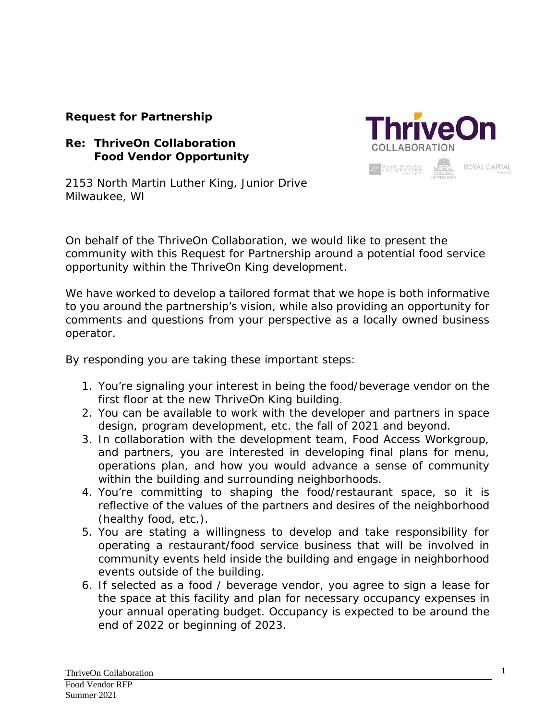### **Request for Partnership**

### **Re: ThriveOn Collaboration Food Vendor Opportunity**



2153 North Martin Luther King, Junior Drive Milwaukee, WI

On behalf of the ThriveOn Collaboration, we would like to present the community with this Request for Partnership around a potential food service opportunity within the ThriveOn King development.

We have worked to develop a tailored format that we hope is both informative to you around the partnership's vision, while also providing an opportunity for comments and questions from your perspective as a locally owned business operator.

By responding you are taking these important steps:

- 1. You're signaling your interest in being the food/beverage vendor on the first floor at the new ThriveOn King building.
- 2. You can be available to work with the developer and partners in space design, program development, etc. the fall of 2021 and beyond.
- 3. In collaboration with the development team, Food Access Workgroup, and partners, you are interested in developing final plans for menu, operations plan, and how you would advance a sense of community within the building and surrounding neighborhoods.
- 4. You're committing to shaping the food/restaurant space, so it is reflective of the values of the partners and desires of the neighborhood (healthy food, etc.).
- 5. You are stating a willingness to develop and take responsibility for operating a restaurant/food service business that will be involved in community events held inside the building and engage in neighborhood events outside of the building.
- 6. If selected as a food / beverage vendor, you agree to sign a lease for the space at this facility and plan for necessary occupancy expenses in your annual operating budget. Occupancy is expected to be around the end of 2022 or beginning of 2023.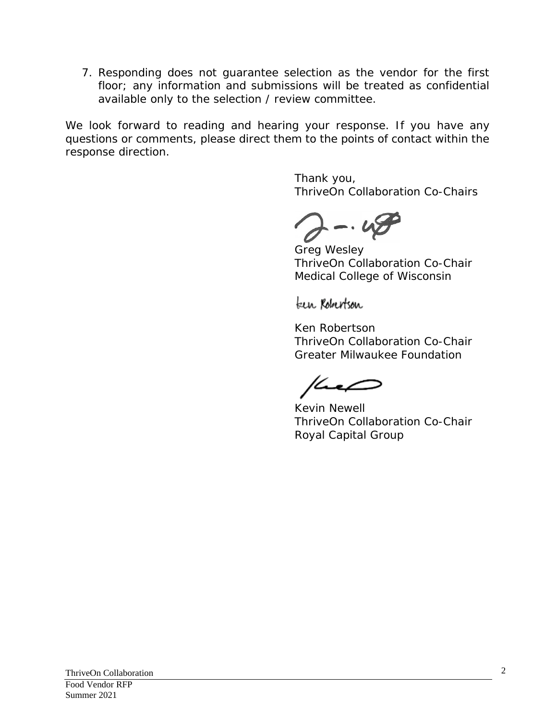7. Responding does not guarantee selection as the vendor for the first floor; any information and submissions will be treated as confidential available only to the selection / review committee.

We look forward to reading and hearing your response. If you have any questions or comments, please direct them to the points of contact within the response direction.

> Thank you, ThriveOn Collaboration Co-Chairs

 $-42$ 

Greg Wesley ThriveOn Collaboration Co-Chair Medical College of Wisconsin

teen Robertson

Ken Robertson ThriveOn Collaboration Co-Chair Greater Milwaukee Foundation

Kevin Newell ThriveOn Collaboration Co-Chair Royal Capital Group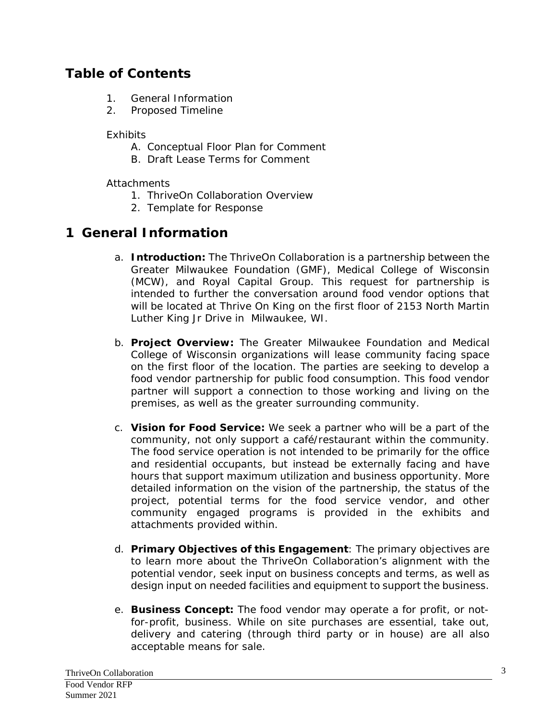## **Table of Contents**

- 1. General Information
- 2. Proposed Timeline

**Exhibits** 

- A. Conceptual Floor Plan for Comment
- B. Draft Lease Terms for Comment

### **Attachments**

- 1. ThriveOn Collaboration Overview
- 2. Template for Response

## **1 General Information**

- a. **Introduction:** The ThriveOn [Collaboration](https://thriveoncollaboration.org/) is a partnership between the Greater Milwaukee Foundation (GMF), Medical College of Wisconsin (MCW), and Royal Capital Group. This request for partnership is intended to further the conversation around food vendor options that will be located at Thrive On King on the first floor of 2153 North Martin Luther King Jr Drive in Milwaukee, WI.
- b. **Project Overview:** The Greater Milwaukee Foundation and Medical College of Wisconsin organizations will lease community facing space on the first floor of the location. The parties are seeking to develop a food vendor partnership for public food consumption. This food vendor partner will support a connection to those working and living on the premises, as well as the greater surrounding community.
- c. **Vision for Food Service:** We seek a partner who will be a part of the community, not only support a café/restaurant within the community. The food service operation is not intended to be primarily for the office and residential occupants, but instead be externally facing and have hours that support maximum utilization and business opportunity. More detailed information on the vision of the partnership, the status of the project, potential terms for the food service vendor, and other community engaged programs is provided in the exhibits and attachments provided within.
- d. **Primary Objectives of this Engagement**: The primary objectives are to learn more about the ThriveOn Collaboration's alignment with the potential vendor, seek input on business concepts and terms, as well as design input on needed facilities and equipment to support the business.
- e. **Business Concept:** The food vendor may operate a for profit, or notfor-profit, business. While on site purchases are essential, take out, delivery and catering (through third party or in house) are all also acceptable means for sale.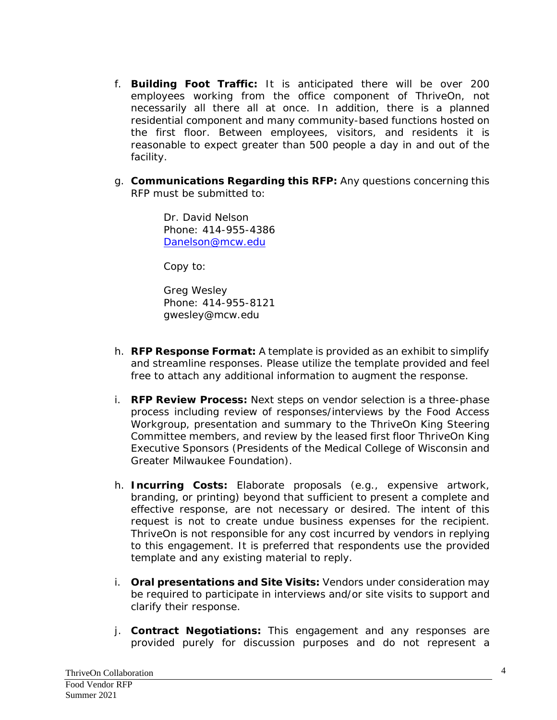- f. **Building Foot Traffic:** It is anticipated there will be over 200 employees working from the office component of ThriveOn, not necessarily all there all at once. In addition, there is a planned residential component and many community-based functions hosted on the first floor. Between employees, visitors, and residents it is reasonable to expect greater than 500 people a day in and out of the facility.
- g. **Communications Regarding this RFP:** Any questions concerning this RFP must be submitted to:

Dr. David Nelson Phone: 414-955-4386 [Danelson@mcw.edu](mailto:Danelson@mcw.edu)

Copy to:

Greg Wesley Phone: 414-955-8121 gwesley@mcw.edu

- h. **RFP Response Format:** A template is provided as an exhibit to simplify and streamline responses. Please utilize the template provided and feel free to attach any additional information to augment the response.
- i. **RFP Review Process:** Next steps on vendor selection is a three-phase process including review of responses/interviews by the Food Access Workgroup, presentation and summary to the ThriveOn King Steering Committee members, and review by the leased first floor ThriveOn King Executive Sponsors (Presidents of the Medical College of Wisconsin and Greater Milwaukee Foundation).
- h. **Incurring Costs:** Elaborate proposals (e.g., expensive artwork, branding, or printing) beyond that sufficient to present a complete and effective response, are not necessary or desired. The intent of this request is not to create undue business expenses for the recipient. ThriveOn is not responsible for any cost incurred by vendors in replying to this engagement. It is preferred that respondents use the provided template and any existing material to reply.
- i. **Oral presentations and Site Visits:** Vendors under consideration may be required to participate in interviews and/or site visits to support and clarify their response.
- j. **Contract Negotiations:** This engagement and any responses are provided purely for discussion purposes and do not represent a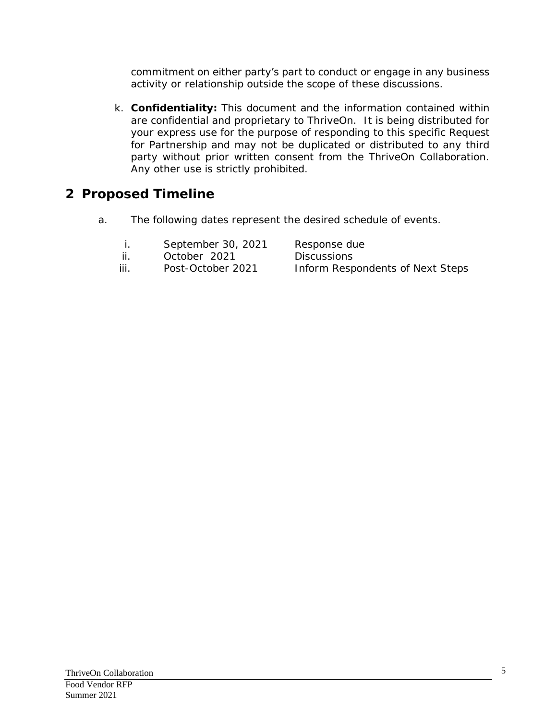commitment on either party's part to conduct or engage in any business activity or relationship outside the scope of these discussions.

k. **Confidentiality:** This document and the information contained within are confidential and proprietary to ThriveOn. It is being distributed for your express use for the purpose of responding to this specific Request for Partnership and may not be duplicated or distributed to any third party without prior written consent from the ThriveOn Collaboration. Any other use is strictly prohibited.

# **2 Proposed Timeline**

a. The following dates represent the desired schedule of events.

|      | September 30, 2021  | Response due                            |
|------|---------------------|-----------------------------------------|
| ii.  | <i>October 2021</i> | <i>Discussions</i>                      |
| iii. | Post-October 2021   | <b>Inform Respondents of Next Steps</b> |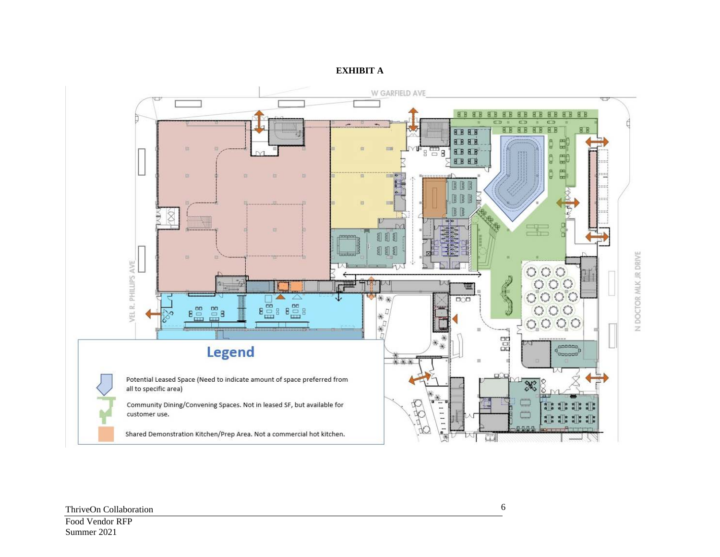

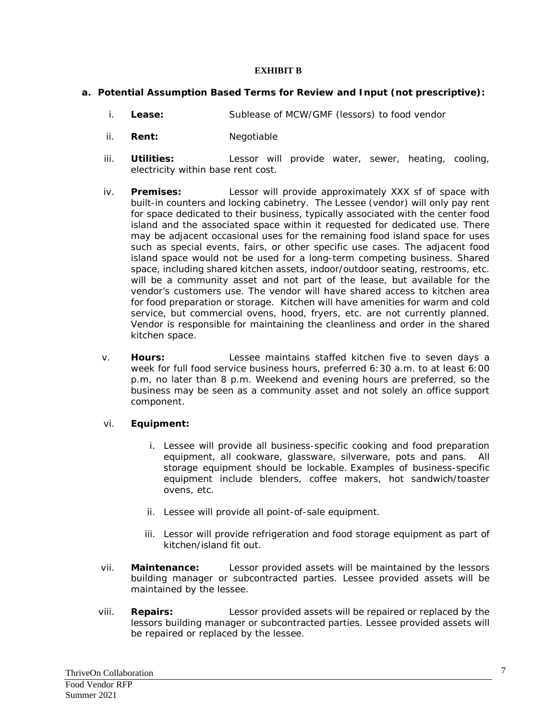#### **EXHIBIT B**

#### **a. Potential Assumption Based Terms for Review and Input (not prescriptive):**

- i. **Lease:** Sublease of MCW/GMF (lessors) to food vendor
- ii. **Rent:** Negotiable
- iii. **Utilities:** Lessor will provide water, sewer, heating, cooling, electricity within base rent cost.
- iv. **Premises:** Lessor will provide approximately XXX sf of space with built-in counters and locking cabinetry. The Lessee (vendor) will only pay rent for space dedicated to their business, typically associated with the center food island and the associated space within it requested for dedicated use. There may be adjacent occasional uses for the remaining food island space for uses such as special events, fairs, or other specific use cases. The adjacent food island space would not be used for a long-term competing business. Shared space, including shared kitchen assets, indoor/outdoor seating, restrooms, etc. will be a community asset and not part of the lease, but available for the vendor's customers use. The vendor will have shared access to kitchen area for food preparation or storage. Kitchen will have amenities for warm and cold service, but commercial ovens, hood, fryers, etc. are not currently planned. Vendor is responsible for maintaining the cleanliness and order in the shared kitchen space.
- v. **Hours:** Lessee maintains staffed kitchen five to seven days a week for full food service business hours, preferred 6:30 a.m. to at least 6:00 p.m, no later than 8 p.m. Weekend and evening hours are preferred, so the business may be seen as a community asset and not solely an office support component.

#### vi. **Equipment:**

- i. Lessee will provide all business-specific cooking and food preparation equipment, all cookware, glassware, silverware, pots and pans. All storage equipment should be lockable. Examples of business-specific equipment include blenders, coffee makers, hot sandwich/toaster ovens, etc.
- ii. Lessee will provide all point-of-sale equipment.
- iii. Lessor will provide refrigeration and food storage equipment as part of kitchen/island fit out.
- vii. **Maintenance:** Lessor provided assets will be maintained by the lessors building manager or subcontracted parties. Lessee provided assets will be maintained by the lessee.
- viii. **Repairs:** Lessor provided assets will be repaired or replaced by the lessors building manager or subcontracted parties. Lessee provided assets will be repaired or replaced by the lessee.